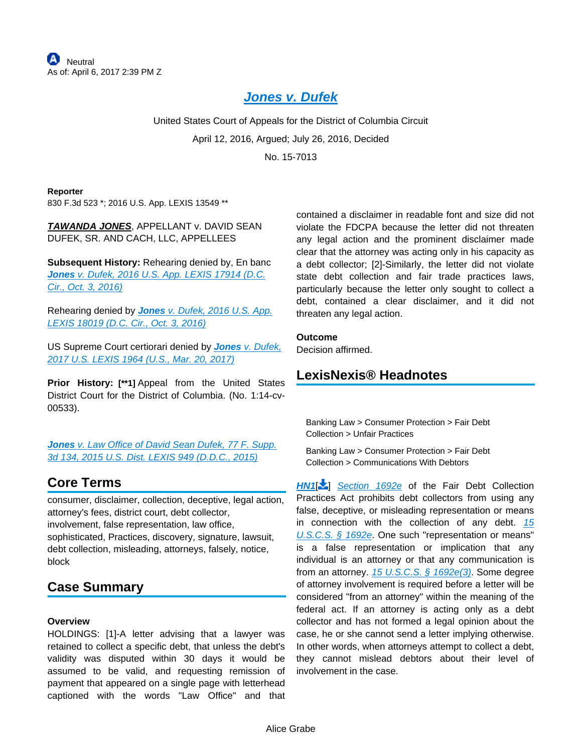# **[Jones v. Dufek](https://advance.lexis.com/api/document?collection=cases&id=urn:contentItem:5K9X-16Y1-F04K-Y0NR-00000-00&context=)**

United States Court of Appeals for the District of Columbia Circuit April 12, 2016, Argued; July 26, 2016, Decided No. 15-7013

#### **Reporter**

830 F.3d 523 \*; 2016 U.S. App. LEXIS 13549 \*\*

### **TAWANDA JONES**, APPELLANT v. DAVID SEAN DUFEK, SR. AND CACH, LLC, APPELLEES

**Subsequent History:** Rehearing denied by, En banc **Jones** [v. Dufek, 2016 U.S. App. LEXIS 17914 \(D.C.](https://advance.lexis.com/api/document?collection=cases&id=urn:contentItem:5KVV-GKR1-F04K-Y16G-00000-00&context=)  [Cir., Oct. 3, 2016\)](https://advance.lexis.com/api/document?collection=cases&id=urn:contentItem:5KVV-GKR1-F04K-Y16G-00000-00&context=)

Rehearing denied by **Jones** [v. Dufek, 2016 U.S. App.](https://advance.lexis.com/api/document?collection=cases&id=urn:contentItem:5KVV-GKR1-F04K-Y16J-00000-00&context=)  [LEXIS 18019 \(D.C. Cir., Oct. 3, 2016\)](https://advance.lexis.com/api/document?collection=cases&id=urn:contentItem:5KVV-GKR1-F04K-Y16J-00000-00&context=)

US Supreme Court certiorari denied by **Jones** [v. Dufek,](https://advance.lexis.com/api/document?collection=cases&id=urn:contentItem:5N4F-35B1-F04K-F08C-00000-00&context=)  [2017 U.S. LEXIS 1964 \(U.S., Mar. 20, 2017\)](https://advance.lexis.com/api/document?collection=cases&id=urn:contentItem:5N4F-35B1-F04K-F08C-00000-00&context=)

**Prior History: [\*\*1]** Appeal from the United States District Court for the District of Columbia. (No. 1:14-cv-00533).

**Jones** v. Law Office of David Sean Dufek, 77 F. Supp. [3d 134, 2015 U.S. Dist. LEXIS 949 \(D.D.C., 2015\)](https://advance.lexis.com/api/document?collection=cases&id=urn:contentItem:5F10-P051-F04C-Y3RD-00000-00&context=)

# **Core Terms**

consumer, disclaimer, collection, deceptive, legal action, attorney's fees, district court, debt collector, involvement, false representation, law office, sophisticated, Practices, discovery, signature, lawsuit, debt collection, misleading, attorneys, falsely, notice, block

# **Case Summary**

#### **Overview**

HOLDINGS: [1]-A letter advising that a lawyer was retained to collect a specific debt, that unless the debt's validity was disputed within 30 days it would be assumed to be valid, and requesting remission of payment that appeared on a single page with letterhead captioned with the words "Law Office" and that

contained a disclaimer in readable font and size did not violate the FDCPA because the letter did not threaten any legal action and the prominent disclaimer made clear that the attorney was acting only in his capacity as a debt collector; [2]-Similarly, the letter did not violate state debt collection and fair trade practices laws, particularly because the letter only sought to collect a debt, contained a clear disclaimer, and it did not threaten any legal action.

#### **Outcome**

Decision affirmed.

### **LexisNexis® Headnotes**

Banking Law > Consumer Protection > Fair Debt Collection > Unfair Practices

Banking Law > Consumer Protection > Fair Debt Collection > Communications With Debtors

**[HN1](https://advance.lexis.com/api/document?collection=cases&id=urn:contentItem:5K9X-16Y1-F04K-Y0NR-00000-00&context=&link=LNHNREFclscc1)<sup>[2</sup>**] [Section 1692e](https://advance.lexis.com/api/document?collection=statutes-legislation&id=urn:contentItem:4YF7-GMG1-NRF4-44WX-00000-00&context=) of the Fair Debt Collection Practices Act prohibits debt collectors from using any false, deceptive, or misleading representation or means in connection with the collection of any debt.  $15$ [U.S.C.S. § 1692e](https://advance.lexis.com/api/document?collection=statutes-legislation&id=urn:contentItem:4YF7-GMG1-NRF4-44WX-00000-00&context=). One such "representation or means" is a false representation or implication that any individual is an attorney or that any communication is from an attorney.  $15 \text{ U.S.C.S.}$  §  $1692 \text{ e}(3)$ . Some degree of attorney involvement is required before a letter will be considered "from an attorney" within the meaning of the federal act. If an attorney is acting only as a debt collector and has not formed a legal opinion about the case, he or she cannot send a letter implying otherwise. In other words, when attorneys attempt to collect a debt, they cannot mislead debtors about their level of involvement in the case.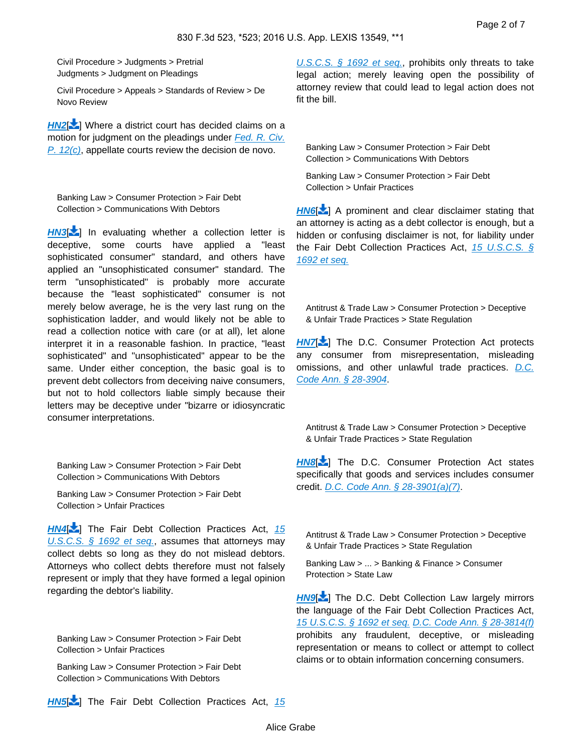Civil Procedure > Judgments > Pretrial Judgments > Judgment on Pleadings

Civil Procedure > Appeals > Standards of Review > De Novo Review

**[HN2](https://advance.lexis.com/api/document?collection=cases&id=urn:contentItem:5K9X-16Y1-F04K-Y0NR-00000-00&context=&link=LNHNREFclscc2)[** $\bullet$ ] Where a district court has decided claims on a motion for judgment on the pleadings under Fed. R. Civ. [P. 12\(c\)](https://advance.lexis.com/api/document?collection=statutes-legislation&id=urn:contentItem:5GYC-1WP1-6N19-F0YW-00000-00&context=), appellate courts review the decision de novo.

Banking Law > Consumer Protection > Fair Debt Collection > Communications With Debtors

**[HN3](https://advance.lexis.com/api/document?collection=cases&id=urn:contentItem:5K9X-16Y1-F04K-Y0NR-00000-00&context=&link=LNHNREFclscc3)<sup>[1</sup>]** In evaluating whether a collection letter is deceptive, some courts have applied a "least sophisticated consumer" standard, and others have applied an "unsophisticated consumer" standard. The term "unsophisticated" is probably more accurate because the "least sophisticated" consumer is not merely below average, he is the very last rung on the sophistication ladder, and would likely not be able to read a collection notice with care (or at all), let alone interpret it in a reasonable fashion. In practice, "least sophisticated" and "unsophisticated" appear to be the same. Under either conception, the basic goal is to prevent debt collectors from deceiving naive consumers, but not to hold collectors liable simply because their letters may be deceptive under "bizarre or idiosyncratic consumer interpretations.

<span id="page-1-0"></span>Banking Law > Consumer Protection > Fair Debt Collection > Communications With Debtors

Banking Law > Consumer Protection > Fair Debt Collection > Unfair Practices

**[HN4](https://advance.lexis.com/api/document?collection=cases&id=urn:contentItem:5K9X-16Y1-F04K-Y0NR-00000-00&context=&link=LNHNREFclscc4)<sup>[2</sup>]** The Fair Debt Collection Practices Act, 15 [U.S.C.S. § 1692 et seq.](https://advance.lexis.com/api/document?collection=statutes-legislation&id=urn:contentItem:4YF7-GHC1-NRF4-407T-00000-00&context=), assumes that attorneys may collect debts so long as they do not mislead debtors. Attorneys who collect debts therefore must not falsely represent or imply that they have formed a legal opinion regarding the debtor's liability.

Banking Law > Consumer Protection > Fair Debt Collection > Unfair Practices

Banking Law > Consumer Protection > Fair Debt Collection > Communications With Debtors

[U.S.C.S. § 1692 et seq.](https://advance.lexis.com/api/document?collection=statutes-legislation&id=urn:contentItem:4YF7-GHC1-NRF4-407T-00000-00&context=), prohibits only threats to take legal action; merely leaving open the possibility of attorney review that could lead to legal action does not fit the bill.

<span id="page-1-1"></span>Banking Law > Consumer Protection > Fair Debt Collection > Communications With Debtors

Banking Law > Consumer Protection > Fair Debt Collection > Unfair Practices

**[HN6](https://advance.lexis.com/api/document?collection=cases&id=urn:contentItem:5K9X-16Y1-F04K-Y0NR-00000-00&context=&link=LNHNREFclscc6)<sup>[2</sup>]** A prominent and clear disclaimer stating that an attorney is acting as a debt collector is enough, but a hidden or confusing disclaimer is not, for liability under the Fair Debt Collection Practices Act,  $15 \text{ U.S.C.S.}$  § [1692 et seq.](https://advance.lexis.com/api/document?collection=statutes-legislation&id=urn:contentItem:4YF7-GHC1-NRF4-407T-00000-00&context=)

<span id="page-1-2"></span>Antitrust & Trade Law > Consumer Protection > Deceptive & Unfair Trade Practices > State Regulation

**[HN7](https://advance.lexis.com/api/document?collection=cases&id=urn:contentItem:5K9X-16Y1-F04K-Y0NR-00000-00&context=&link=LNHNREFclscc7)<sup>1</sup>** The D.C. Consumer Protection Act protects any consumer from misrepresentation, misleading omissions, and other unlawful trade practices. [D.C.](https://advance.lexis.com/api/document?collection=statutes-legislation&id=urn:contentItem:5FTR-NFF1-DXC8-013X-00000-00&context=)  [Code Ann. § 28-3904](https://advance.lexis.com/api/document?collection=statutes-legislation&id=urn:contentItem:5FTR-NFF1-DXC8-013X-00000-00&context=).

Antitrust & Trade Law > Consumer Protection > Deceptive & Unfair Trade Practices > State Regulation

**[HN8](https://advance.lexis.com/api/document?collection=cases&id=urn:contentItem:5K9X-16Y1-F04K-Y0NR-00000-00&context=&link=LNHNREFclscc8)<sup>[ ]</sup>** The D.C. Consumer Protection Act states specifically that goods and services includes consumer credit. [D.C. Code Ann. § 28-3901\(a\)\(7\)](https://advance.lexis.com/api/document?collection=statutes-legislation&id=urn:contentItem:5CDK-B2N1-6NSS-B07B-00000-00&context=).

Antitrust & Trade Law > Consumer Protection > Deceptive & Unfair Trade Practices > State Regulation

Banking Law > ... > Banking & Finance > Consumer Protection > State Law

<span id="page-1-3"></span>**[HN9](https://advance.lexis.com/api/document?collection=cases&id=urn:contentItem:5K9X-16Y1-F04K-Y0NR-00000-00&context=&link=LNHNREFclscc9)<sup>[+</sup>]** The D.C. Debt Collection Law largely mirrors the language of the Fair Debt Collection Practices Act, [15 U.S.C.S. § 1692 et seq.](https://advance.lexis.com/api/document?collection=statutes-legislation&id=urn:contentItem:4YF7-GHC1-NRF4-407T-00000-00&context=) [D.C. Code Ann. § 28-3814\(f\)](https://advance.lexis.com/api/document?collection=statutes-legislation&id=urn:contentItem:5CDK-B2N1-6NSS-B06S-00000-00&context=) prohibits any fraudulent, deceptive, or misleading representation or means to collect or attempt to collect claims or to obtain information concerning consumers.

**[HN5](https://advance.lexis.com/api/document?collection=cases&id=urn:contentItem:5K9X-16Y1-F04K-Y0NR-00000-00&context=&link=LNHNREFclscc5)** The Fair Debt Collection Practices Act, 15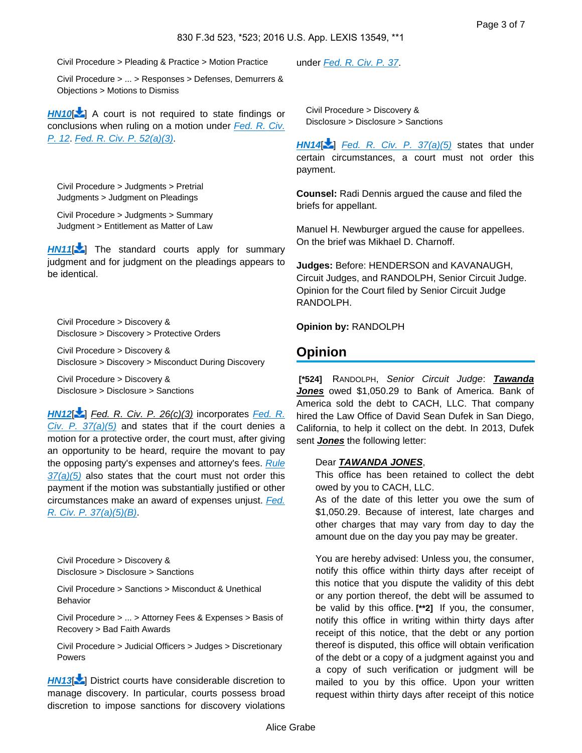Civil Procedure > Pleading & Practice > Motion Practice

Civil Procedure > ... > Responses > Defenses, Demurrers & Objections > Motions to Dismiss

**[HN10](https://advance.lexis.com/api/document?collection=cases&id=urn:contentItem:5K9X-16Y1-F04K-Y0NR-00000-00&context=&link=LNHNREFclscc10)** | A court is not required to state findings or conclusions when ruling on a motion under Fed. R. Civ. [P. 12](https://advance.lexis.com/api/document?collection=statutes-legislation&id=urn:contentItem:5GYC-1WP1-6N19-F0YW-00000-00&context=). [Fed. R. Civ. P. 52\(a\)\(3\)](https://advance.lexis.com/api/document?collection=statutes-legislation&id=urn:contentItem:5GYC-22N1-6N19-F032-00000-00&context=).

Civil Procedure > Judgments > Pretrial Judgments > Judgment on Pleadings

Civil Procedure > Judgments > Summary Judgment > Entitlement as Matter of Law

<span id="page-2-0"></span>**[HN11](https://advance.lexis.com/api/document?collection=cases&id=urn:contentItem:5K9X-16Y1-F04K-Y0NR-00000-00&context=&link=LNHNREFclscc11)<sup>[\[](#page-5-1)1</sup>**] The standard courts apply for summary judgment and for judgment on the pleadings appears to be identical.

Civil Procedure > Discovery & Disclosure > Discovery > Protective Orders

Civil Procedure > Discovery & Disclosure > Discovery > Misconduct During Discovery

Civil Procedure > Discovery & Disclosure > Disclosure > Sanctions

**[HN12](https://advance.lexis.com/api/document?collection=cases&id=urn:contentItem:5K9X-16Y1-F04K-Y0NR-00000-00&context=&link=LNHNREFclscc12)**[\[](#page-6-0) ] Fed. R. Civ. P. 26(c)(3) incorporates [Fed. R.](https://advance.lexis.com/api/document?collection=statutes-legislation&id=urn:contentItem:8JDD-11V2-8T6X-7291-00000-00&context=)  [Civ. P. 37\(a\)\(5\)](https://advance.lexis.com/api/document?collection=statutes-legislation&id=urn:contentItem:8JDD-11V2-8T6X-7291-00000-00&context=) and states that if the court denies a motion for a protective order, the court must, after giving an opportunity to be heard, require the movant to pay the opposing party's expenses and attorney's fees. Rule  $37(a)(5)$  also states that the court must not order this payment if the motion was substantially justified or other circumstances make an award of expenses unjust. Fed. [R. Civ. P. 37\(a\)\(5\)\(B\)](https://advance.lexis.com/api/document?collection=statutes-legislation&id=urn:contentItem:8JDD-11V2-8T6X-7291-00000-00&context=).

Civil Procedure > Discovery & Disclosure > Disclosure > Sanctions

Civil Procedure > Sanctions > Misconduct & Unethical Behavior

Civil Procedure > ... > Attorney Fees & Expenses > Basis of Recovery > Bad Faith Awards

Civil Procedure > Judicial Officers > Judges > Discretionary Powers

**[HN13](https://advance.lexis.com/api/document?collection=cases&id=urn:contentItem:5K9X-16Y1-F04K-Y0NR-00000-00&context=&link=LNHNREFclscc13)** 2] District courts have considerable discretion to manage discovery. In particular, courts possess broad discretion to impose sanctions for discovery violations under [Fed. R. Civ. P. 37](https://advance.lexis.com/api/document?collection=statutes-legislation&id=urn:contentItem:8JDD-11V2-8T6X-7291-00000-00&context=).

Civil Procedure > Discovery & Disclosure > Disclosure > Sanctions

**[HN14](https://advance.lexis.com/api/document?collection=cases&id=urn:contentItem:5K9X-16Y1-F04K-Y0NR-00000-00&context=&link=LNHNREFclscc14)**[\[](#page-6-2) ] [Fed. R. Civ. P. 37\(a\)\(5\)](https://advance.lexis.com/api/document?collection=statutes-legislation&id=urn:contentItem:8JDD-11V2-8T6X-7291-00000-00&context=) states that under certain circumstances, a court must not order this payment.

**Counsel:** Radi Dennis argued the cause and filed the briefs for appellant.

Manuel H. Newburger argued the cause for appellees. On the brief was Mikhael D. Charnoff.

**Judges:** Before: HENDERSON and KAVANAUGH, Circuit Judges, and RANDOLPH, Senior Circuit Judge. Opinion for the Court filed by Senior Circuit Judge RANDOLPH.

**Opinion by:** RANDOLPH

### **Opinion**

 **[\*524]** RANDOLPH, Senior Circuit Judge: **Tawanda Jones** owed \$1,050.29 to Bank of America. Bank of America sold the debt to CACH, LLC. That company hired the Law Office of David Sean Dufek in San Diego, California, to help it collect on the debt. In 2013, Dufek sent **Jones** the following letter:

#### Dear **TAWANDA JONES**,

This office has been retained to collect the debt owed by you to CACH, LLC.

As of the date of this letter you owe the sum of \$1,050.29. Because of interest, late charges and other charges that may vary from day to day the amount due on the day you pay may be greater.

You are hereby advised: Unless you, the consumer, notify this office within thirty days after receipt of this notice that you dispute the validity of this debt or any portion thereof, the debt will be assumed to be valid by this office. **[\*\*2]** If you, the consumer, notify this office in writing within thirty days after receipt of this notice, that the debt or any portion thereof is disputed, this office will obtain verification of the debt or a copy of a judgment against you and a copy of such verification or judgment will be mailed to you by this office. Upon your written request within thirty days after receipt of this notice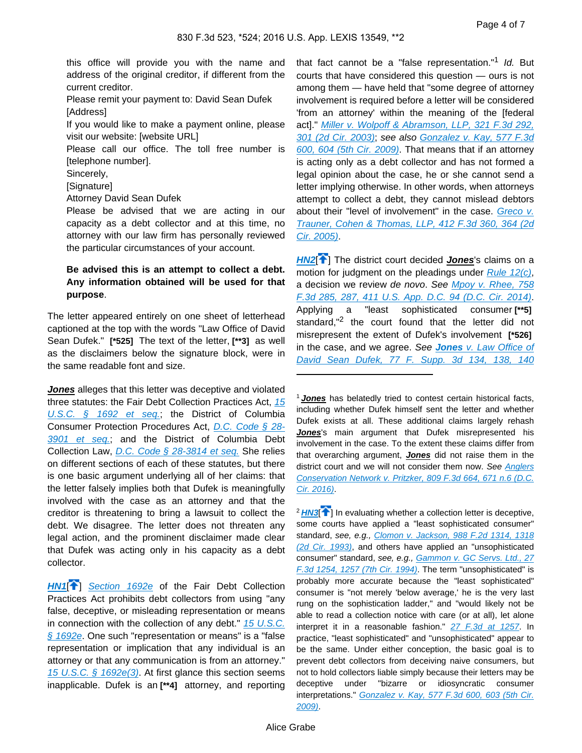this office will provide you with the name and address of the original creditor, if different from the current creditor.

Please remit your payment to: David Sean Dufek [Address]

If you would like to make a payment online, please visit our website: [website URL]

Please call our office. The toll free number is [telephone number].

Sincerely,

[Signature]

Attorney David Sean Dufek

Please be advised that we are acting in our capacity as a debt collector and at this time, no attorney with our law firm has personally reviewed the particular circumstances of your account.

### **Be advised this is an attempt to collect a debt. Any information obtained will be used for that purpose**.

The letter appeared entirely on one sheet of letterhead captioned at the top with the words "Law Office of David Sean Dufek." **[\*525]** The text of the letter, **[\*\*3]** as well as the disclaimers below the signature block, were in the same readable font and size.

**Jones** alleges that this letter was deceptive and violated three statutes: the Fair Debt Collection Practices Act, 15 [U.S.C. § 1692 et seq.](https://advance.lexis.com/api/document?collection=statutes-legislation&id=urn:contentItem:4YF7-GHC1-NRF4-407T-00000-00&context=); the District of Columbia Consumer Protection Procedures Act, [D.C. Code § 28-](https://advance.lexis.com/api/document?collection=statutes-legislation&id=urn:contentItem:5CDK-B2N1-6NSS-B07B-00000-00&context=) [3901 et seq.](https://advance.lexis.com/api/document?collection=statutes-legislation&id=urn:contentItem:5CDK-B2N1-6NSS-B07B-00000-00&context=); and the District of Columbia Debt Collection Law, [D.C. Code § 28-3814 et seq.](https://advance.lexis.com/api/document?collection=statutes-legislation&id=urn:contentItem:5CDK-B2N1-6NSS-B06S-00000-00&context=) She relies on different sections of each of these statutes, but there is one basic argument underlying all of her claims: that the letter falsely implies both that Dufek is meaningfully involved with the case as an attorney and that the creditor is threatening to bring a lawsuit to collect the debt. We disagree. The letter does not threaten any legal action, and the prominent disclaimer made clear that Dufek was acting only in his capacity as a debt collector.

**[HN1](https://advance.lexis.com/api/document?collection=cases&id=urn:contentItem:5K9X-16Y1-F04K-Y0NR-00000-00&context=&link=clscc1)<sup>4</sup>** [Section 1692e](https://advance.lexis.com/api/document?collection=statutes-legislation&id=urn:contentItem:4YF7-GMG1-NRF4-44WX-00000-00&context=) of the Fair Debt Collection Practices Act prohibits debt collectors from using "any false, deceptive, or misleading representation or means in connection with the collection of any debt." 15 U.S.C.  $§ 1692e$ . One such "representation or means" is a "false representation or implication that any individual is an attorney or that any communication is from an attorney." [15 U.S.C. § 1692e\(3\)](https://advance.lexis.com/api/document?collection=statutes-legislation&id=urn:contentItem:4YF7-GMG1-NRF4-44WX-00000-00&context=). At first glance this section seems inapplicable. Dufek is an **[\*\*4]** attorney, and reporting

that fact cannot be a "false representation."<sup>1</sup> Id. But courts that have considered this question — ours is not among them — have held that "some degree of attorney involvement is required before a letter will be considered 'from an attorney' within the meaning of the [federal act]." Miller v. Wolpoff & Abramson, LLP, 321 F.3d 292, [301 \(2d Cir. 2003\)](https://advance.lexis.com/api/document?collection=cases&id=urn:contentItem:4816-F6M0-0038-X3H2-00000-00&context=); see also [Gonzalez v. Kay, 577 F.3d](https://advance.lexis.com/api/document?collection=cases&id=urn:contentItem:4WXJ-B7N0-TXFX-71RB-00000-00&context=)  [600, 604 \(5th Cir. 2009\)](https://advance.lexis.com/api/document?collection=cases&id=urn:contentItem:4WXJ-B7N0-TXFX-71RB-00000-00&context=). That means that if an attorney is acting only as a debt collector and has not formed a legal opinion about the case, he or she cannot send a letter implying otherwise. In other words, when attorneys attempt to collect a debt, they cannot mislead debtors about their "level of involvement" in the case. Greco v. [Trauner, Cohen & Thomas, LLP, 412 F.3d 360, 364 \(2d](https://advance.lexis.com/api/document?collection=cases&id=urn:contentItem:4GFN-JB70-0038-X363-00000-00&context=)  [Cir. 2005\)](https://advance.lexis.com/api/document?collection=cases&id=urn:contentItem:4GFN-JB70-0038-X363-00000-00&context=).

**[HN2](https://advance.lexis.com/api/document?collection=cases&id=urn:contentItem:5K9X-16Y1-F04K-Y0NR-00000-00&context=&link=clscc2)**[ ] The district court decided **Jones**'s claims on a motion for judgment on the pleadings under  $Rule 12(c)$ , a decision we review de novo. See [Mpoy v. Rhee, 758](https://advance.lexis.com/api/document?collection=cases&id=urn:contentItem:5CNN-N131-F04K-Y0MR-00000-00&context=)  [F.3d 285, 287, 411 U.S. App. D.C. 94 \(D.C. Cir. 2014\)](https://advance.lexis.com/api/document?collection=cases&id=urn:contentItem:5CNN-N131-F04K-Y0MR-00000-00&context=). Applying a "least sophisticated consumer **[\*\*5]**  standard,"<sup>2</sup> the court found that the letter did not misrepresent the extent of Dufek's involvement **[\*526]**  in the case, and we agree. See **Jones** [v. Law Office of](https://advance.lexis.com/api/document?collection=cases&id=urn:contentItem:5F10-P051-F04C-Y3RD-00000-00&context=)  [David Sean Dufek, 77 F. Supp. 3d 134, 138, 140](https://advance.lexis.com/api/document?collection=cases&id=urn:contentItem:5F10-P051-F04C-Y3RD-00000-00&context=) 

<sup>1</sup>**Jones** has belatedly tried to contest certain historical facts, including whether Dufek himself sent the letter and whether Dufek exists at all. These additional claims largely rehash **Jones**'s main argument that Dufek misrepresented his involvement in the case. To the extent these claims differ from that overarching argument, **Jones** did not raise them in the district court and we will not consider them now. See Anglers [Conservation Network v. Pritzker, 809 F.3d 664, 671 n.6 \(D.C.](https://advance.lexis.com/api/document?collection=cases&id=urn:contentItem:5HSM-1H41-F04K-Y0DB-00000-00&context=)  [Cir. 2016\)](https://advance.lexis.com/api/document?collection=cases&id=urn:contentItem:5HSM-1H41-F04K-Y0DB-00000-00&context=).

<sup>2</sup> [HN3](https://advance.lexis.com/api/document?collection=cases&id=urn:contentItem:5K9X-16Y1-F04K-Y0NR-00000-00&context=&link=clscc3)<sup>[4]</sup> In evaluating whether a collection letter is deceptive, some courts have applied a "least sophisticated consumer" standard, see, e.g., Clomon v. Jackson, 988 F.2d 1314, 1318 [\(2d Cir. 1993\)](https://advance.lexis.com/api/document?collection=cases&id=urn:contentItem:3S4X-HBC0-003B-P45W-00000-00&context=), and others have applied an "unsophisticated consumer" standard, see, e.g., Gammon v. GC Servs. Ltd., 27 [F.3d 1254, 1257 \(7th Cir. 1994\)](https://advance.lexis.com/api/document?collection=cases&id=urn:contentItem:3S4X-4WK0-003B-P3TT-00000-00&context=). The term "unsophisticated" is probably more accurate because the "least sophisticated" consumer is "not merely 'below average,' he is the very last rung on the sophistication ladder," and "would likely not be able to read a collection notice with care (or at all), let alone interpret it in a reasonable fashion."  $27$  F.3d at 1257. In practice, "least sophisticated" and "unsophisticated" appear to be the same. Under either conception, the basic goal is to prevent debt collectors from deceiving naive consumers, but not to hold collectors liable simply because their letters may be deceptive under "bizarre or idiosyncratic consumer interpretations." Gonzalez v. Kay, 577 F.3d 600, 603 (5th Cir. [2009\)](https://advance.lexis.com/api/document?collection=cases&id=urn:contentItem:4WXJ-B7N0-TXFX-71RB-00000-00&context=).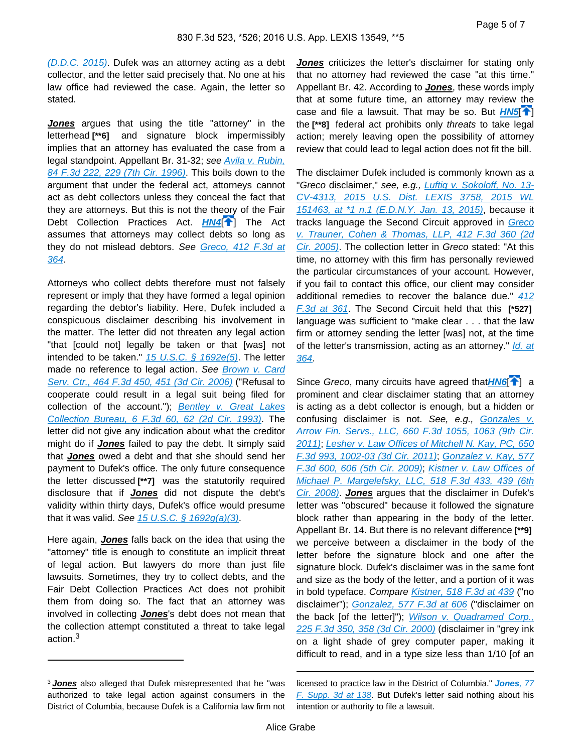[\(D.D.C. 2015\)](https://advance.lexis.com/api/document?collection=cases&id=urn:contentItem:5F10-P051-F04C-Y3RD-00000-00&context=). Dufek was an attorney acting as a debt collector, and the letter said precisely that. No one at his law office had reviewed the case. Again, the letter so stated.

**Jones** argues that using the title "attorney" in the letterhead **[\*\*6]** and signature block impermissibly implies that an attorney has evaluated the case from a legal standpoint. Appellant Br. 31-32; see [Avila v. Rubin,](https://advance.lexis.com/api/document?collection=cases&id=urn:contentItem:3RTX-3T40-006F-M3G1-00000-00&context=)  [84 F.3d 222, 229 \(7th Cir. 1996\)](https://advance.lexis.com/api/document?collection=cases&id=urn:contentItem:3RTX-3T40-006F-M3G1-00000-00&context=). This boils down to the argument that under the federal act, attorneys cannot act as debt collectors unless they conceal the fact that they are attorneys. But this is not the theory of the Fair Debt Collection Practices Act. **[HN4](https://advance.lexis.com/api/document?collection=cases&id=urn:contentItem:5K9X-16Y1-F04K-Y0NR-00000-00&context=&link=clscc4)<sup>[\[](#page-1-0)4</sup>]** The Act assumes that attorneys may collect debts so long as they do not mislead debtors. See Greco, 412 F.3d at [364](https://advance.lexis.com/api/document?collection=cases&id=urn:contentItem:4GFN-JB70-0038-X363-00000-00&context=).

Attorneys who collect debts therefore must not falsely represent or imply that they have formed a legal opinion regarding the debtor's liability. Here, Dufek included a conspicuous disclaimer describing his involvement in the matter. The letter did not threaten any legal action "that [could not] legally be taken or that [was] not intended to be taken."  $15$  U.S.C. §  $1692e(5)$ . The letter made no reference to legal action. See Brown v. Card [Serv. Ctr., 464 F.3d 450, 451 \(3d Cir. 2006\)](https://advance.lexis.com/api/document?collection=cases&id=urn:contentItem:4M1D-Y4G0-0038-X16X-00000-00&context=) ("Refusal to cooperate could result in a legal suit being filed for collection of the account."); **Bentley v. Great Lakes** [Collection Bureau, 6 F.3d 60, 62 \(2d Cir. 1993\)](https://advance.lexis.com/api/document?collection=cases&id=urn:contentItem:3S4X-CVJ0-003B-P3BH-00000-00&context=). The letter did not give any indication about what the creditor might do if **Jones** failed to pay the debt. It simply said that **Jones** owed a debt and that she should send her payment to Dufek's office. The only future consequence the letter discussed **[\*\*7]** was the statutorily required disclosure that if **Jones** did not dispute the debt's validity within thirty days, Dufek's office would presume that it was valid. See  $15 \text{ U.S.C.}$  §  $1692g(a)(3)$ .

Here again, **Jones** falls back on the idea that using the "attorney" title is enough to constitute an implicit threat of legal action. But lawyers do more than just file lawsuits. Sometimes, they try to collect debts, and the Fair Debt Collection Practices Act does not prohibit them from doing so. The fact that an attorney was involved in collecting **Jones**'s debt does not mean that the collection attempt constituted a threat to take legal action.<sup>3</sup>

**Jones** criticizes the letter's disclaimer for stating only that no attorney had reviewed the case "at this time." Appellant Br. 42. According to **Jones**, these words imply that at some future time, an attorney may review the case and file a lawsuit. That may be so. But  $H N 5$ <sup>[4]</sup> the **[\*\*8]** federal act prohibits only threats to take legal action; merely leaving open the possibility of attorney review that could lead to legal action does not fit the bill.

The disclaimer Dufek included is commonly known as a "Greco disclaimer," see, e.g., [Luftig v. Sokoloff, No. 13-](https://advance.lexis.com/api/document?collection=cases&id=urn:contentItem:5F2G-WS41-F04F-00T8-00000-00&context=) [CV-4313, 2015 U.S. Dist. LEXIS 3758, 2015 WL](https://advance.lexis.com/api/document?collection=cases&id=urn:contentItem:5F2G-WS41-F04F-00T8-00000-00&context=)  [151463, at \\*1 n.1 \(E.D.N.Y. Jan. 13, 2015\)](https://advance.lexis.com/api/document?collection=cases&id=urn:contentItem:5F2G-WS41-F04F-00T8-00000-00&context=), because it tracks language the Second Circuit approved in [Greco](https://advance.lexis.com/api/document?collection=cases&id=urn:contentItem:4GFN-JB70-0038-X363-00000-00&context=)  [v. Trauner, Cohen & Thomas, LLP, 412 F.3d 360 \(2d](https://advance.lexis.com/api/document?collection=cases&id=urn:contentItem:4GFN-JB70-0038-X363-00000-00&context=)  [Cir. 2005\)](https://advance.lexis.com/api/document?collection=cases&id=urn:contentItem:4GFN-JB70-0038-X363-00000-00&context=). The collection letter in Greco stated: "At this time, no attorney with this firm has personally reviewed the particular circumstances of your account. However, if you fail to contact this office, our client may consider additional remedies to recover the balance due." [412](https://advance.lexis.com/api/document?collection=cases&id=urn:contentItem:4GFN-JB70-0038-X363-00000-00&context=)  [F.3d at 361](https://advance.lexis.com/api/document?collection=cases&id=urn:contentItem:4GFN-JB70-0038-X363-00000-00&context=). The Second Circuit held that this **[\*527]**  language was sufficient to "make clear . . . that the law firm or attorney sending the letter [was] not, at the time of the letter's transmission, acting as an attorney." *Id. at* [364](https://advance.lexis.com/api/document?collection=cases&id=urn:contentItem:4GFN-JB70-0038-X363-00000-00&context=).

Since Greco, many circuits have agreed that **[HN6](https://advance.lexis.com/api/document?collection=cases&id=urn:contentItem:5K9X-16Y1-F04K-Y0NR-00000-00&context=&link=clscc6)<sup>[4</sup>[\]](#page-1-1)** a prominent and clear disclaimer stating that an attorney is acting as a debt collector is enough, but a hidden or confusing disclaimer is not. See, e.g., Gonzales v. [Arrow Fin. Servs., LLC, 660 F.3d 1055, 1063 \(9th Cir.](https://advance.lexis.com/api/document?collection=cases&id=urn:contentItem:837X-RJG1-652R-82YH-00000-00&context=)  [2011\)](https://advance.lexis.com/api/document?collection=cases&id=urn:contentItem:837X-RJG1-652R-82YH-00000-00&context=); [Lesher v. Law Offices of Mitchell N. Kay, PC, 650](https://advance.lexis.com/api/document?collection=cases&id=urn:contentItem:82HW-C841-652R-100J-00000-00&context=)  [F.3d 993, 1002-03 \(3d Cir. 2011\)](https://advance.lexis.com/api/document?collection=cases&id=urn:contentItem:82HW-C841-652R-100J-00000-00&context=); [Gonzalez v. Kay, 577](https://advance.lexis.com/api/document?collection=cases&id=urn:contentItem:4WXJ-B7N0-TXFX-71RB-00000-00&context=)  [F.3d 600, 606 \(5th Cir. 2009\)](https://advance.lexis.com/api/document?collection=cases&id=urn:contentItem:4WXJ-B7N0-TXFX-71RB-00000-00&context=); [Kistner v. Law Offices of](https://advance.lexis.com/api/document?collection=cases&id=urn:contentItem:4RXM-MNR0-TXFX-830M-00000-00&context=)  [Michael P. Margelefsky, LLC, 518 F.3d 433, 439 \(6th](https://advance.lexis.com/api/document?collection=cases&id=urn:contentItem:4RXM-MNR0-TXFX-830M-00000-00&context=)  [Cir. 2008\)](https://advance.lexis.com/api/document?collection=cases&id=urn:contentItem:4RXM-MNR0-TXFX-830M-00000-00&context=). **Jones** argues that the disclaimer in Dufek's letter was "obscured" because it followed the signature block rather than appearing in the body of the letter. Appellant Br. 14. But there is no relevant difference **[\*\*9]**  we perceive between a disclaimer in the body of the letter before the signature block and one after the signature block. Dufek's disclaimer was in the same font and size as the body of the letter, and a portion of it was in bold typeface. Compare [Kistner, 518 F.3d at 439](https://advance.lexis.com/api/document?collection=cases&id=urn:contentItem:4RXM-MNR0-TXFX-830M-00000-00&context=) ("no disclaimer"); [Gonzalez, 577 F.3d at 606](https://advance.lexis.com/api/document?collection=cases&id=urn:contentItem:4WXJ-B7N0-TXFX-71RB-00000-00&context=) ("disclaimer on the back [of the letter]"); Wilson v. Quadramed Corp., [225 F.3d 350, 358 \(3d Cir. 2000\)](https://advance.lexis.com/api/document?collection=cases&id=urn:contentItem:4133-60M0-0038-X4PJ-00000-00&context=) (disclaimer in "grey ink on a light shade of grey computer paper, making it difficult to read, and in a type size less than 1/10 [of an

<sup>3</sup>**Jones** also alleged that Dufek misrepresented that he "was authorized to take legal action against consumers in the District of Columbia, because Dufek is a California law firm not

licensed to practice law in the District of Columbia." **[Jones](https://advance.lexis.com/api/document?collection=cases&id=urn:contentItem:5F10-P051-F04C-Y3RD-00000-00&context=)**, 77 [F. Supp. 3d at 138](https://advance.lexis.com/api/document?collection=cases&id=urn:contentItem:5F10-P051-F04C-Y3RD-00000-00&context=). But Dufek's letter said nothing about his intention or authority to file a lawsuit.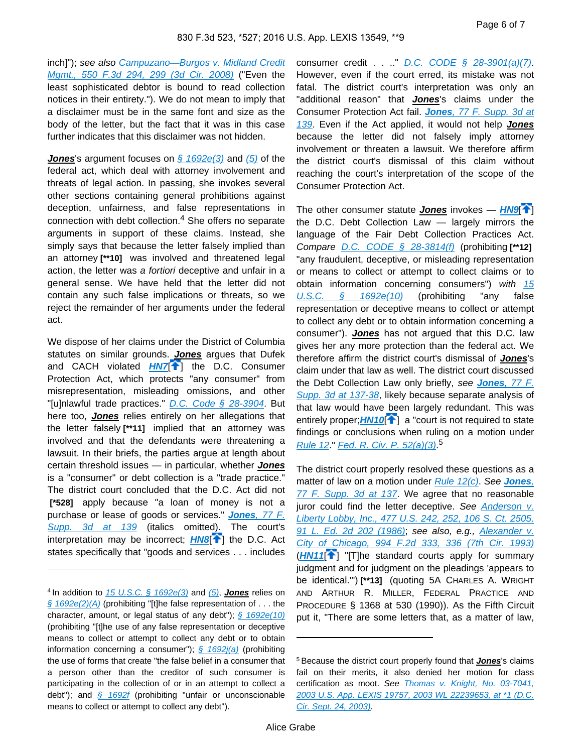inch]"); see also Campuzano—Burgos v. Midland Credit [Mgmt., 550 F.3d 294, 299 \(3d Cir. 2008\)](https://advance.lexis.com/api/document?collection=cases&id=urn:contentItem:4V70-W5M0-TXFX-52R3-00000-00&context=) ("Even the least sophisticated debtor is bound to read collection notices in their entirety."). We do not mean to imply that a disclaimer must be in the same font and size as the body of the letter, but the fact that it was in this case further indicates that this disclaimer was not hidden.

**Jones**'s argument focuses on [§ 1692e\(3\)](https://advance.lexis.com/api/document?collection=statutes-legislation&id=urn:contentItem:4YF7-GMG1-NRF4-44WX-00000-00&context=) and [\(5\)](https://advance.lexis.com/api/document?collection=statutes-legislation&id=urn:contentItem:4YF7-GMG1-NRF4-44WX-00000-00&context=) of the federal act, which deal with attorney involvement and threats of legal action. In passing, she invokes several other sections containing general prohibitions against deception, unfairness, and false representations in connection with debt collection.<sup>4</sup> She offers no separate arguments in support of these claims. Instead, she simply says that because the letter falsely implied than an attorney **[\*\*10]** was involved and threatened legal action, the letter was a fortiori deceptive and unfair in a general sense. We have held that the letter did not contain any such false implications or threats, so we reject the remainder of her arguments under the federal act.

We dispose of her claims under the District of Columbia statutes on similar grounds. **Jones** argues that Dufek and CACH violated **[HN7](https://advance.lexis.com/api/document?collection=cases&id=urn:contentItem:5K9X-16Y1-F04K-Y0NR-00000-00&context=&link=clscc7)<sup>1</sup>** the D.C. Consumer Protection Act, which protects "any consumer" from misrepresentation, misleading omissions, and other "[u]nlawful trade practices." [D.C. Code § 28-3904](https://advance.lexis.com/api/document?collection=statutes-legislation&id=urn:contentItem:5FTR-NFF1-DXC8-013X-00000-00&context=). But here too, **Jones** relies entirely on her allegations that the letter falsely **[\*\*11]** implied that an attorney was involved and that the defendants were threatening a lawsuit. In their briefs, the parties argue at length about certain threshold issues — in particular, whether **Jones** is a "consumer" or debt collection is a "trade practice." The district court concluded that the D.C. Act did not  **[\*528]** apply because "a loan of money is not a purchase or lease of goods or services." **Jones**[, 77 F.](https://advance.lexis.com/api/document?collection=cases&id=urn:contentItem:5F10-P051-F04C-Y3RD-00000-00&context=)  [Supp. 3d at 139](https://advance.lexis.com/api/document?collection=cases&id=urn:contentItem:5F10-P051-F04C-Y3RD-00000-00&context=) (italics omitted). The court's interpretation may be incorrect; **[HN8](https://advance.lexis.com/api/document?collection=cases&id=urn:contentItem:5K9X-16Y1-F04K-Y0NR-00000-00&context=&link=clscc8)<sup>[4]</sup>** the D.C. Act states specifically that "goods and services . . . includes

consumer credit . . . . " D.C. CODE  $\S$  28-3901(a)(7). However, even if the court erred, its mistake was not fatal. The district court's interpretation was only an "additional reason" that **Jones**'s claims under the Consumer Protection Act fail. **Jones**[, 77 F. Supp. 3d at](https://advance.lexis.com/api/document?collection=cases&id=urn:contentItem:5F10-P051-F04C-Y3RD-00000-00&context=)  [139](https://advance.lexis.com/api/document?collection=cases&id=urn:contentItem:5F10-P051-F04C-Y3RD-00000-00&context=). Even if the Act applied, it would not help **Jones** because the letter did not falsely imply attorney involvement or threaten a lawsuit. We therefore affirm the district court's dismissal of this claim without reaching the court's interpretation of the scope of the Consumer Protection Act.

The other consumer statute **Jones** invokes — **[HN9](https://advance.lexis.com/api/document?collection=cases&id=urn:contentItem:5K9X-16Y1-F04K-Y0NR-00000-00&context=&link=clscc9)<sup>[4]</sup>**] the D.C. Debt Collection Law — largely mirrors the language of the Fair Debt Collection Practices Act. Compare [D.C. CODE § 28-3814\(f\)](https://advance.lexis.com/api/document?collection=statutes-legislation&id=urn:contentItem:5CDK-B2N1-6NSS-B06S-00000-00&context=) (prohibiting **[\*\*12]**  "any fraudulent, deceptive, or misleading representation or means to collect or attempt to collect claims or to obtain information concerning consumers") with 15 [U.S.C. § 1692e\(10\)](https://advance.lexis.com/api/document?collection=statutes-legislation&id=urn:contentItem:4YF7-GMG1-NRF4-44WX-00000-00&context=) (prohibiting "any false representation or deceptive means to collect or attempt to collect any debt or to obtain information concerning a consumer"). **Jones** has not argued that this D.C. law gives her any more protection than the federal act. We therefore affirm the district court's dismissal of **Jones**'s claim under that law as well. The district court discussed the Debt Collection Law only briefly, see **Jones**[, 77 F.](https://advance.lexis.com/api/document?collection=cases&id=urn:contentItem:5F10-P051-F04C-Y3RD-00000-00&context=)  [Supp. 3d at 137-38](https://advance.lexis.com/api/document?collection=cases&id=urn:contentItem:5F10-P051-F04C-Y3RD-00000-00&context=), likely because separate analysis of that law would have been largely redundant. This was entirely proper;  $HM10$ <sup>[ $\uparrow$ </sup>[\]](#page-1-3) a "court is not required to state findings or conclusions when ruling on a motion under [Rule 12](https://advance.lexis.com/api/document?collection=statutes-legislation&id=urn:contentItem:5GYC-1WP1-6N19-F0YW-00000-00&context=) " [Fed. R. Civ. P. 52\(a\)\(3\)](https://advance.lexis.com/api/document?collection=statutes-legislation&id=urn:contentItem:5GYC-22N1-6N19-F032-00000-00&context=)<sup>5</sup>

<span id="page-5-1"></span><span id="page-5-0"></span>The district court properly resolved these questions as a matter of law on a motion under [Rule 12\(c\)](https://advance.lexis.com/api/document?collection=statutes-legislation&id=urn:contentItem:5GYC-1WP1-6N19-F0YW-00000-00&context=). See **[Jones](https://advance.lexis.com/api/document?collection=cases&id=urn:contentItem:5F10-P051-F04C-Y3RD-00000-00&context=)**, [77 F. Supp. 3d at 137](https://advance.lexis.com/api/document?collection=cases&id=urn:contentItem:5F10-P051-F04C-Y3RD-00000-00&context=). We agree that no reasonable juror could find the letter deceptive. See Anderson v. [Liberty Lobby, Inc., 477 U.S. 242, 252, 106 S. Ct. 2505,](https://advance.lexis.com/api/document?collection=cases&id=urn:contentItem:3S4X-6H80-0039-N37M-00000-00&context=)  [91 L. Ed. 2d 202 \(1986\)](https://advance.lexis.com/api/document?collection=cases&id=urn:contentItem:3S4X-6H80-0039-N37M-00000-00&context=); see also, e.g., [Alexander v.](https://advance.lexis.com/api/document?collection=cases&id=urn:contentItem:3S4X-GDN0-003B-P2JK-00000-00&context=)  [City of Chicago, 994 F.2d 333, 336 \(7th Cir. 1993\)](https://advance.lexis.com/api/document?collection=cases&id=urn:contentItem:3S4X-GDN0-003B-P2JK-00000-00&context=)  $(HN11$  $(HN11$ <sup>[ $\uparrow$ </sup>] "[T]he standard courts apply for summary judgment and for judgment on the pleadings 'appears to be identical.'") **[\*\*13]** (quoting 5A CHARLES A. WRIGHT AND ARTHUR R. MILLER, FEDERAL PRACTICE AND PROCEDURE § 1368 at 530 (1990)). As the Fifth Circuit put it, "There are some letters that, as a matter of law,

<sup>4</sup>In addition to [15 U.S.C. § 1692e\(3\)](https://advance.lexis.com/api/document?collection=statutes-legislation&id=urn:contentItem:4YF7-GMG1-NRF4-44WX-00000-00&context=) and [\(5\)](https://advance.lexis.com/api/document?collection=statutes-legislation&id=urn:contentItem:4YF7-GMG1-NRF4-44WX-00000-00&context=), **Jones** relies on  $\frac{\mathcal{S}}{\mathcal{S}}$  1692e(2)(A) (prohibiting "[t]he false representation of . . . the character, amount, or legal status of any debt");  $\frac{6}{5}$  1692e(10) (prohibiting "[t]he use of any false representation or deceptive means to collect or attempt to collect any debt or to obtain information concerning a consumer");  $\frac{6}{9}$  1692j(a) (prohibiting the use of forms that create "the false belief in a consumer that a person other than the creditor of such consumer is participating in the collection of or in an attempt to collect a debt"); and  $\frac{6}{5}$  1692f (prohibiting "unfair or unconscionable means to collect or attempt to collect any debt").

<sup>5</sup>Because the district court properly found that **Jones**'s claims fail on their merits, it also denied her motion for class certification as moot. See Thomas v. Knight, No. 03-7041, [2003 U.S. App. LEXIS 19757, 2003 WL 22239653, at \\*1 \(D.C.](https://advance.lexis.com/api/document?collection=cases&id=urn:contentItem:49MD-7R80-0038-X2XF-00000-00&context=)  [Cir. Sept. 24, 2003\)](https://advance.lexis.com/api/document?collection=cases&id=urn:contentItem:49MD-7R80-0038-X2XF-00000-00&context=).